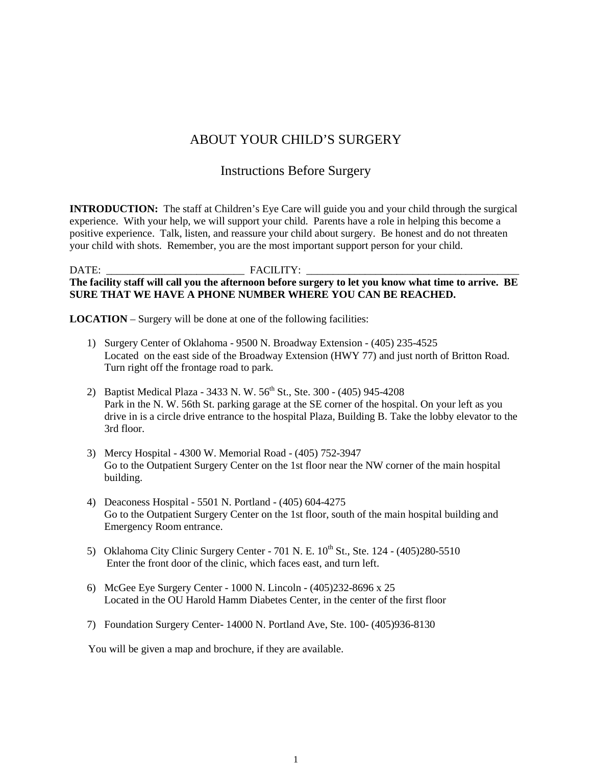## ABOUT YOUR CHILD'S SURGERY

## Instructions Before Surgery

**INTRODUCTION:** The staff at Children's Eye Care will guide you and your child through the surgical experience. With your help, we will support your child. Parents have a role in helping this become a positive experience. Talk, listen, and reassure your child about surgery. Be honest and do not threaten your child with shots. Remember, you are the most important support person for your child.

## DATE: \_\_\_\_\_\_\_\_\_\_\_\_\_\_\_\_\_\_\_\_\_\_\_\_\_\_ FACILITY: \_\_\_\_\_\_\_\_\_\_\_\_\_\_\_\_\_\_\_\_\_\_\_\_\_\_\_\_\_\_\_\_\_\_\_\_\_\_\_\_ **The facility staff will call you the afternoon before surgery to let you know what time to arrive. BE SURE THAT WE HAVE A PHONE NUMBER WHERE YOU CAN BE REACHED.**

**LOCATION** – Surgery will be done at one of the following facilities:

- 1) Surgery Center of Oklahoma 9500 N. Broadway Extension (405) 235-4525 Located on the east side of the Broadway Extension (HWY 77) and just north of Britton Road. Turn right off the frontage road to park.
- 2) Baptist Medical Plaza 3433 N. W. 56<sup>th</sup> St., Ste. 300 (405) 945-4208 Park in the N. W. 56th St. parking garage at the SE corner of the hospital. On your left as you drive in is a circle drive entrance to the hospital Plaza, Building B. Take the lobby elevator to the 3rd floor.
- 3) Mercy Hospital 4300 W. Memorial Road (405) 752-3947 Go to the Outpatient Surgery Center on the 1st floor near the NW corner of the main hospital building.
- 4) Deaconess Hospital 5501 N. Portland (405) 604-4275 Go to the Outpatient Surgery Center on the 1st floor, south of the main hospital building and Emergency Room entrance.
- 5) Oklahoma City Clinic Surgery Center  $701$  N. E.  $10^{th}$  St., Ste. 124  $(405)280-5510$ Enter the front door of the clinic, which faces east, and turn left.
- 6) McGee Eye Surgery Center 1000 N. Lincoln (405)232-8696 x 25 Located in the OU Harold Hamm Diabetes Center, in the center of the first floor
- 7) Foundation Surgery Center- 14000 N. Portland Ave, Ste. 100- (405)936-8130

You will be given a map and brochure, if they are available.